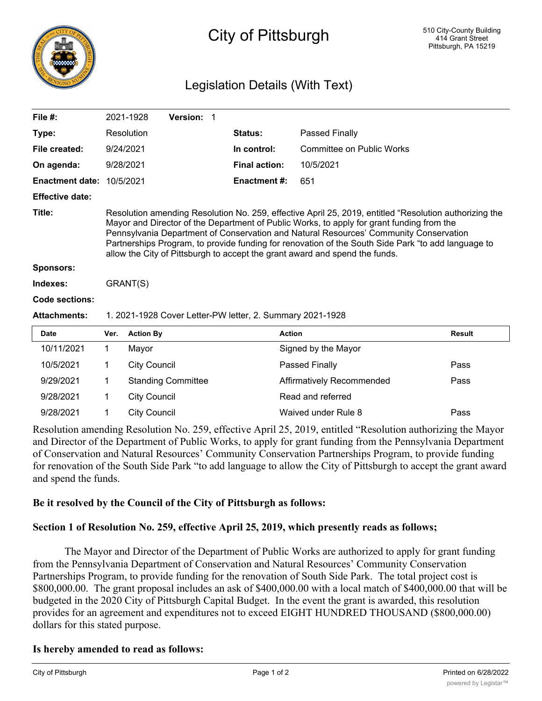

# City of Pittsburgh

## Legislation Details (With Text)

| File $#$ :             |                                                                                                                                                                                                                                                                                                                                                                                                                                                                                   | 2021-1928           | Version: 1                |  |                      |                                  |  |               |
|------------------------|-----------------------------------------------------------------------------------------------------------------------------------------------------------------------------------------------------------------------------------------------------------------------------------------------------------------------------------------------------------------------------------------------------------------------------------------------------------------------------------|---------------------|---------------------------|--|----------------------|----------------------------------|--|---------------|
| Type:                  |                                                                                                                                                                                                                                                                                                                                                                                                                                                                                   | Resolution          |                           |  | Status:              | Passed Finally                   |  |               |
| File created:          | 9/24/2021                                                                                                                                                                                                                                                                                                                                                                                                                                                                         |                     |                           |  | In control:          | <b>Committee on Public Works</b> |  |               |
| On agenda:             | 9/28/2021                                                                                                                                                                                                                                                                                                                                                                                                                                                                         |                     |                           |  | <b>Final action:</b> | 10/5/2021                        |  |               |
| <b>Enactment date:</b> | 10/5/2021                                                                                                                                                                                                                                                                                                                                                                                                                                                                         |                     |                           |  | <b>Enactment #:</b>  | 651                              |  |               |
| <b>Effective date:</b> |                                                                                                                                                                                                                                                                                                                                                                                                                                                                                   |                     |                           |  |                      |                                  |  |               |
| Title:                 | Resolution amending Resolution No. 259, effective April 25, 2019, entitled "Resolution authorizing the<br>Mayor and Director of the Department of Public Works, to apply for grant funding from the<br>Pennsylvania Department of Conservation and Natural Resources' Community Conservation<br>Partnerships Program, to provide funding for renovation of the South Side Park "to add language to<br>allow the City of Pittsburgh to accept the grant award and spend the funds. |                     |                           |  |                      |                                  |  |               |
| <b>Sponsors:</b>       |                                                                                                                                                                                                                                                                                                                                                                                                                                                                                   |                     |                           |  |                      |                                  |  |               |
| Indexes:               | GRANT(S)                                                                                                                                                                                                                                                                                                                                                                                                                                                                          |                     |                           |  |                      |                                  |  |               |
| Code sections:         |                                                                                                                                                                                                                                                                                                                                                                                                                                                                                   |                     |                           |  |                      |                                  |  |               |
| <b>Attachments:</b>    | 1. 2021-1928 Cover Letter-PW letter, 2. Summary 2021-1928                                                                                                                                                                                                                                                                                                                                                                                                                         |                     |                           |  |                      |                                  |  |               |
| <b>Date</b>            | Ver.                                                                                                                                                                                                                                                                                                                                                                                                                                                                              | <b>Action By</b>    |                           |  |                      | <b>Action</b>                    |  | <b>Result</b> |
| 10/11/2021             | 1                                                                                                                                                                                                                                                                                                                                                                                                                                                                                 | Mayor               |                           |  |                      | Signed by the Mayor              |  |               |
| 10/5/2021              | 1                                                                                                                                                                                                                                                                                                                                                                                                                                                                                 | <b>City Council</b> |                           |  |                      | Passed Finally                   |  | Pass          |
| 9/29/2021              | 1                                                                                                                                                                                                                                                                                                                                                                                                                                                                                 |                     | <b>Standing Committee</b> |  |                      | <b>Affirmatively Recommended</b> |  | Pass          |
| 9/28/2021              | $\mathbf 1$                                                                                                                                                                                                                                                                                                                                                                                                                                                                       | <b>City Council</b> |                           |  |                      | Read and referred                |  |               |
| 9/28/2021              | 1                                                                                                                                                                                                                                                                                                                                                                                                                                                                                 | <b>City Council</b> |                           |  |                      | Waived under Rule 8              |  | Pass          |

Resolution amending Resolution No. 259, effective April 25, 2019, entitled "Resolution authorizing the Mayor and Director of the Department of Public Works, to apply for grant funding from the Pennsylvania Department of Conservation and Natural Resources' Community Conservation Partnerships Program, to provide funding for renovation of the South Side Park "to add language to allow the City of Pittsburgh to accept the grant award and spend the funds.

### **Be it resolved by the Council of the City of Pittsburgh as follows:**

### **Section 1 of Resolution No. 259, effective April 25, 2019, which presently reads as follows;**

The Mayor and Director of the Department of Public Works are authorized to apply for grant funding from the Pennsylvania Department of Conservation and Natural Resources' Community Conservation Partnerships Program, to provide funding for the renovation of South Side Park. The total project cost is \$800,000.00. The grant proposal includes an ask of \$400,000.00 with a local match of \$400,000.00 that will be budgeted in the 2020 City of Pittsburgh Capital Budget. In the event the grant is awarded, this resolution provides for an agreement and expenditures not to exceed EIGHT HUNDRED THOUSAND (\$800,000.00) dollars for this stated purpose.

### **Is hereby amended to read as follows:**